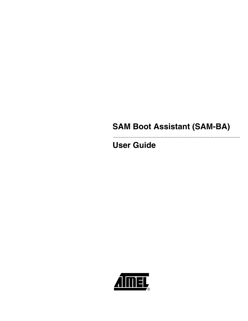## **SAM Boot Assistant (SAM-BA)**

**User Guide** 

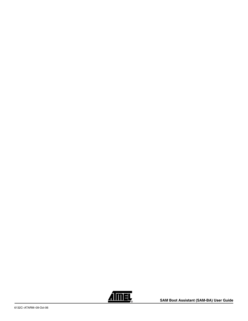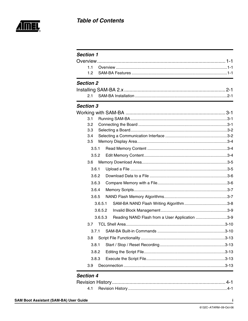### **Table of Contents**



| <b>Section 1</b> |         |                                                |  |
|------------------|---------|------------------------------------------------|--|
|                  |         |                                                |  |
| 1.1              |         |                                                |  |
| 1.2              |         |                                                |  |
| <b>Section 2</b> |         |                                                |  |
|                  |         |                                                |  |
| 2.1              |         |                                                |  |
| <b>Section 3</b> |         |                                                |  |
|                  |         |                                                |  |
| 3.1              |         |                                                |  |
| 3.2              |         |                                                |  |
| 3.3              |         |                                                |  |
| 3.4              |         |                                                |  |
| 3.5              |         |                                                |  |
|                  | 3.5.1   |                                                |  |
|                  | 3.5.2   |                                                |  |
| 3.6              |         |                                                |  |
|                  | 3.6.1   |                                                |  |
|                  | 3.6.2   |                                                |  |
|                  | 3.6.3   |                                                |  |
|                  | 3.6.4   |                                                |  |
|                  | 3.6.5   |                                                |  |
|                  | 3.6.5.1 |                                                |  |
|                  | 3.6.5.2 |                                                |  |
|                  | 3.6.5.3 | Reading NAND Flash from a User Application 3-9 |  |
| 3.7              |         |                                                |  |
|                  | 3.7.1   |                                                |  |
| 3.8              |         |                                                |  |
|                  | 3.8.1   |                                                |  |
|                  | 3.8.2   |                                                |  |
|                  | 3.8.3   |                                                |  |
| 3.9              |         |                                                |  |
|                  |         |                                                |  |

### **Section 4**

 $\mathbf i$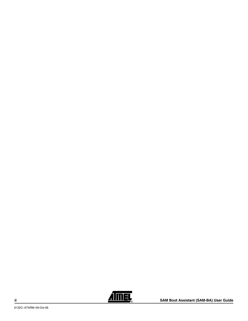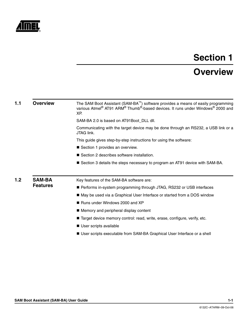<span id="page-4-0"></span>

# **Section 1**

## **Overview**

### <span id="page-4-2"></span><span id="page-4-1"></span>**1.1** Overview The SAM Boot Assistant (SAM-BA<sup>™</sup>) software provides a means of easily programming various Atmel<sup>®</sup> AT91 ARM<sup>®</sup> Thumb<sup>®</sup>-based devices. It runs under Windows<sup>®</sup> 2000 and XP. SAM-BA 2.0 is based on AT91Boot\_DLL dll. Communicating with the target device may be done through an RS232, a USB link or a JTAG link. This guide gives step-by-step instructions for using the software: ■ Section 1 provides an overview. ■ Section 2 describes software installation. ■ Section 3 details the steps necessary to program an AT91 device with SAM-BA. **1.2 SAM-BA Features** Key features of the SAM-BA software are: ■ Performs in-system programming through JTAG, RS232 or USB interfaces ■ May be used via a Graphical User Interface or started from a DOS window ■ Runs under Windows 2000 and XP ■ Memory and peripheral display content

- <span id="page-4-4"></span><span id="page-4-3"></span>■ Target device memory control: read, write, erase, configure, verify, etc.
- **User scripts available**
- User scripts executable from SAM-BA Graphical User Interface or a shell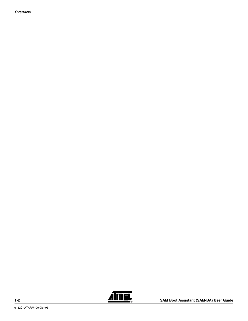*Overview*

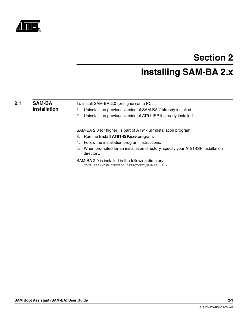

## **Section 2**

## <span id="page-6-1"></span><span id="page-6-0"></span>**Installing SAM-BA 2.x**

### <span id="page-6-2"></span>**2.1 SAM-BA Installation** To install SAM-BA 2.0 (or higher) on a PC: 1. Uninstall the previous version of SAM-BA if already installed. 2. Uninstall the previous version of AT91-ISP if already installed. SAM-BA 2.0 (or higher) is part of AT91-ISP installation program. 3. Run the **Install AT91-ISP.exe** program. 4. Follow the installation program instructions. 5. When prompted for an installation directory, specify your AT91-ISP installation directory. SAM-BA 2.0 is installed in the following directory: YOUR\_AT91-ISP\_INSTALL\_DIRECTORY\SAM-BA v2.x

**SAM Boot Assistant (SAM-BA) User Guide 2-1**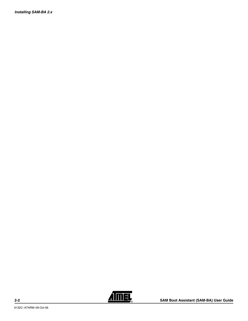*Installing SAM-BA 2.x*

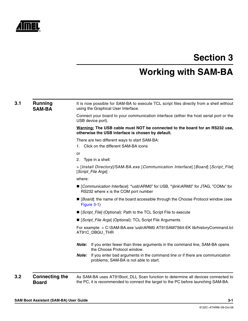

## **Section 3**

# <span id="page-8-1"></span><span id="page-8-0"></span>**Working with SAM-BA**

<span id="page-8-4"></span><span id="page-8-3"></span><span id="page-8-2"></span>

| 3.1 | <b>Running</b><br><b>SAM-BA</b>       |        | It is now possible for SAM-BA to execute TCL script files directly from a shell without<br>using the Graphical User Interface.                                        |
|-----|---------------------------------------|--------|-----------------------------------------------------------------------------------------------------------------------------------------------------------------------|
|     |                                       |        | Connect your board to your communication interface (either the host serial port or the<br>USB device port).                                                           |
|     |                                       |        | Warning: The USB cable must NOT be connected to the board for an RS232 use,<br>otherwise the USB interface is chosen by default.                                      |
|     |                                       |        | There are two different ways to start SAM-BA:                                                                                                                         |
|     |                                       |        | 1. Click on the different SAM-BA icons                                                                                                                                |
|     |                                       | or     |                                                                                                                                                                       |
|     |                                       | 2.     | Type in a shell:                                                                                                                                                      |
|     |                                       |        | > [Install Directory]/SAM-BA.exe [Communication Interface] [Board] [Script_File]<br>[Script_File Args]                                                                |
|     |                                       | where: |                                                                                                                                                                       |
|     |                                       |        | ■ [Communication Interface]: "\usb\ARM0" for USB, "\iink\ARM0" for JTAG, "COMx" for<br>RS232 where x is the COM port number                                           |
|     |                                       |        | ■ [Board]: the name of the board accessible through the Choose Protocol window (see<br>Figure 3-1)                                                                    |
|     |                                       |        | ■ [Script_File] (Optional): Path to the TCL Script File to execute                                                                                                    |
|     |                                       |        | ■ [Script_File Args] (Optional): TCL Script File Arguments                                                                                                            |
|     |                                       |        | For example: > C:\SAM-BA.exe \usb\ARM0 AT91SAM7S64-EK lib/historyCommand.tcl<br>AT91C_DBGU_THR                                                                        |
|     |                                       |        | <b>Note:</b> If you enter fewer than three arguments in the command line, SAM-BA opens<br>the Choose Protocol window.                                                 |
|     |                                       | Note:  | If you enter bad arguments in the command line or if there are communication<br>problems, SAM-BA is not able to start.                                                |
|     |                                       |        |                                                                                                                                                                       |
| 3.2 | <b>Connecting the</b><br><b>Board</b> |        | As SAM-BA uses AT91Boot_DLL Scan function to determine all devices connected to<br>the PC, it is recommended to connect the target to the PC before launching SAM-BA. |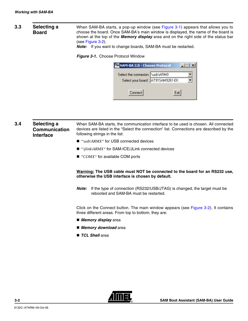#### <span id="page-9-0"></span>**3.3 Selecting a Board** When SAM-BA starts, a pop-up window (see [Figure 3-1\)](#page-9-2) appears that allows you to choose the board. Once SAM-BA's main window is displayed, the name of the board is shown at the top of the *Memory display* area and on the right side of the status bar (see [Figure 3-2\)](#page-10-0).

*Note:* If you want to change boards, SAM-BA must be restarted.

<span id="page-9-2"></span>*Figure 3-1.* Choose Protocol Window

| <b>SAM-BA 2.0 - Choose Protocol</b> |                                   |  |  |  |  |
|-------------------------------------|-----------------------------------|--|--|--|--|
| Select the connexion: \\usb\ARM0    |                                   |  |  |  |  |
|                                     | Select your board: AT91SAM9261-EK |  |  |  |  |
| Connect                             | Exit                              |  |  |  |  |

<span id="page-9-1"></span>**3.4 Selecting a Communication Interface** When SAM-BA starts, the communication interface to be used is chosen. All connected devices are listed in the "Select the connection" list. Connections are described by the following strings in the list: ■ "\usb\ARMX" for USB connected devices

- "\*jlink*\ARMX" for SAM-ICE/JLink connected devices
- "*COMX*" for available COM ports

**Warning: The USB cable must NOT be connected to the board for an RS232 use, otherwise the USB interface is chosen by default.**

*Note:* If the type of connection (RS232/USB/JTAG) is changed, the target must be rebooted and SAM-BA must be restarted.

Click on the Connect button. The main window appears (see [Figure 3-2\)](#page-10-0). It contains three different areas. From top to bottom, they are:

- **E** Memory display area
- **E** Memory download area
- *TCL Shell* area

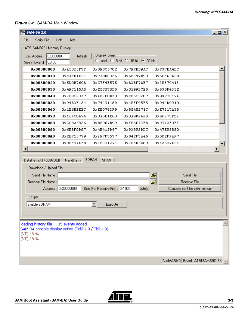### <span id="page-10-0"></span>*Figure 3-2.* SAM-BA Main Window

| <b>SAM-BA 2.0</b>                                               |                     |                                 |                                   |            | $-10x$                          |
|-----------------------------------------------------------------|---------------------|---------------------------------|-----------------------------------|------------|---------------------------------|
| Script File<br>File                                             | Link<br>Help        |                                 |                                   |            |                                 |
| AT91SAM9261 Memory Display:                                     |                     |                                 |                                   |            |                                 |
| Start Address: 0x300000                                         | Refresh             | Display format-                 |                                   |            |                                 |
| Size in byte(s): 0x100                                          |                     |                                 | C ascii C 8-bit C 16-bit C 32-bit |            |                                 |
| 0x00300000                                                      | OxA5825F7F          | Ox89BC670E                      | Ox79FBB9AC                        | OXF37EA4DC |                                 |
| 0x00300010                                                      | OxE3FB1E53          | 0x718DC926                      | 0x6F247D99                        | Ox58F6D6BB |                                 |
| 0x00300020                                                      | Ox5DOB769A          | OxC7F4E57E                      | OXA3BF7AB7                        | Ox2E37C413 |                                 |
| 0x00300030                                                      | 0x49C115A5          | OxE5C878D6                      | Ox0199DCE5                        | OxD35D435E |                                 |
| 0x00300040                                                      | Ox2FBC40E7          | OXAD2EODEO                      | OxEE6CD207                        | Ox9477217A |                                 |
| 0x00300050                                                      | Ox94A3F154          | 0x7449118D                      | Ox4EFF95F5                        | 0x944D9910 |                                 |
| 0x00300060                                                      | OX1E6BEEEC          | OxEE0782F9                      | 0xB545271C                        | OxE7317A38 |                                 |
| 0x00300070                                                      | 0x164C8674          | OX8ADE1ECO                      | Ox8A9D46ED                        | OxDF273F22 |                                 |
| 0x00300080                                                      | OXCCBA6856          | 0xB5D67B99                      | OXFE6EA3FB                        | Ox9712FOEF |                                 |
| 0x00300090                                                      | Ox6EBF0D97          | 0x4B415D47                      | 0x93992DDC                        | 0x47E93850 |                                 |
| 0x003000A0                                                      | 0xEEF15779          | 0x297F3537                      | OxB4EF3A46                        | Ox5DEFFAF7 |                                 |
| 0x003000B0                                                      | Ox9BF8AEEB          | 0x1EC91273                      | Ox2BED6A89                        | OxF2587EBF |                                 |
| $\blacktriangleleft$                                            |                     |                                 |                                   |            |                                 |
|                                                                 |                     |                                 |                                   |            |                                 |
| DataFlash AT45DB/DCB                                            | <b>NandFlash</b>    | SDRAM<br><b>SRAM</b>            |                                   |            |                                 |
| Download / Upload File                                          |                     |                                 |                                   |            |                                 |
| Send File Name:                                                 |                     |                                 |                                   | É          | Send File                       |
| Receive File Name:                                              |                     |                                 |                                   | Ê          | Receive File                    |
|                                                                 | Address: 0x20000000 | Size (For Receive File): 0x1000 | byte(s)                           |            | Compare sent file with memory   |
| Scripts                                                         |                     |                                 |                                   |            |                                 |
| Enable SDRAM                                                    |                     | Execute<br>$\blacktriangledown$ |                                   |            |                                 |
|                                                                 |                     |                                 |                                   |            |                                 |
|                                                                 |                     |                                 |                                   |            |                                 |
| loading history file  15 events added                           |                     |                                 |                                   |            |                                 |
| SAM-BA console display active (Tcl8.4.9 / Tk8.4.9)<br>(NT) 16 % |                     |                                 |                                   |            |                                 |
| (NT) 16 %                                                       |                     |                                 |                                   |            |                                 |
|                                                                 |                     |                                 |                                   |            |                                 |
|                                                                 |                     |                                 |                                   |            |                                 |
|                                                                 |                     |                                 |                                   |            | \usb\ARM0 Board: AT91SAM9261-EK |
|                                                                 |                     |                                 |                                   |            |                                 |

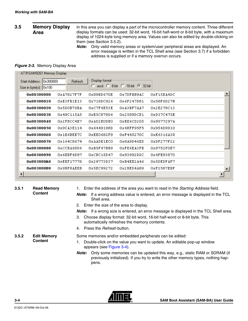#### <span id="page-11-0"></span>**3.5 Memory Display Area** In this area you can display a part of the microcontroller memory content. Three different display formats can be used: 32-bit word, 16-bit half-word or 8-bit byte, with a maximum display of 1024-byte long memory area. Values can also be edited by double-clicking on them (see [Section 3.5.2\)](#page-11-2).

*Note:* Only valid memory areas or system/user peripheral areas are displayed. An error message is written in the TCL Shell area (see [Section 3.7](#page-17-0)) if a forbidden address is supplied or if a memory overrun occurs.

### *Figure 3-3.* Memory Display Area

| AT91SAM9261 Memory Display-                        |            |                 |                                   |            |  |
|----------------------------------------------------|------------|-----------------|-----------------------------------|------------|--|
| Start Address : 0x300000<br>Size in byte(s): 0x100 | Refresh    | Display format- | C ascii C 8-bit C 16-bit C 32-bit |            |  |
| 0x00300000                                         | OxA7827F7F | 0x89BD670E      | Ox7DFBB9AC                        | OXF15EA4DC |  |
| 0x00300010                                         | OxE3FB1E13 | 0x718DC926      | 0x6F247D81                        | 0x58F6D27B |  |
| 0x00300020                                         | Ox5DOB76BA | OxC7F4E53E      | OXA3BF7AA7                        | 0x2E278C13 |  |
| 0x00300030                                         | 0x49C115A5 | 0xE5C878D6      | 0x2589DCE1                        | 0xD37C475E |  |
| 0x00300040                                         | Ox2FBCC4E7 | OxAD2EODEO      | OxEE6CD205                        | Ox9577297A |  |
| 0x00300050                                         | Ox9CA3E114 | 0x6449198D      | Ox4EFF95F5                        | 0x954D9910 |  |
| 0x00300060                                         | Ox1E6BEE7C | 0xEE0682F9      | 0xF445270C                        | OxE6316A38 |  |
| 0x00300070                                         | 0x164C8674 | OXAADE1ECO      | Ox8A9D46ED                        | OxDF277F22 |  |
| 0x00300080                                         | OXCCBA68D6 | OxB5F47BB9      | OXFE6EA3FB                        | 0x9752F0E7 |  |
| 0x00300090                                         | Ox6EBF4D97 | OxCBC15D47      | 0x93992DDC                        | 0x4FE93870 |  |
| 0x003000A0                                         | OxEEF17778 | 0x29773D37      | OXB4EE2A46                        | Ox5DEDFAF7 |  |
| 0x003000B0                                         | Ox9BF8AEEB | 0x5EC99272      | Ox2BED4A89                        | OxF2587EBF |  |
|                                                    |            |                 |                                   |            |  |

<span id="page-11-2"></span><span id="page-11-1"></span>

| 3.5.1 | <b>Read Memory</b><br><b>Content</b> | 1. Enter the address of the area you want to read in the Starting Address field.<br><b>Note:</b> If a wrong address value is entered, an error message is displayed in the TCL<br>Shell area. |
|-------|--------------------------------------|-----------------------------------------------------------------------------------------------------------------------------------------------------------------------------------------------|
|       |                                      | 2. Enter the size of the area to display.                                                                                                                                                     |
|       |                                      | <b>Note:</b> If a wrong size is entered, an error message is displayed in the TCL Shell area.                                                                                                 |
|       |                                      | 3. Choose display format: 32-bit word, 16-bit half-word or 8-bit byte. This<br>automatically refreshes the memory contents.                                                                   |
|       |                                      | 4. Press the <i>Refresh</i> button.                                                                                                                                                           |
| 3.5.2 | <b>Edit Memory</b>                   | Some memories and/or embedded peripherals can be edited:                                                                                                                                      |
|       | Content                              | Double-click on the value you want to update. An editable pop-up window<br>appears (see Figure 3-4).                                                                                          |
|       |                                      | <b>Note:</b> Only some memories can be updated this way, e.g., static RAM or SDRAM (if<br>previously initialized). If you try to write the other memory types, nothing hap-<br>pens.          |

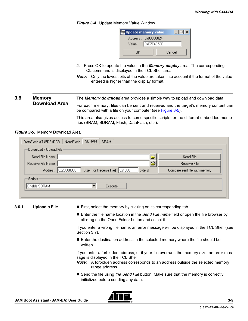#### <span id="page-12-2"></span>*Figure 3-4.* Update Memory Value Window

| <b>Update memory value</b> |        |
|----------------------------|--------|
| Address: 0x00300024        |        |
| Value: 0xC7F4E53E          |        |
| пк                         | Cancel |

- 2. Press OK to update the value in the *Memory display* area. The corresponding TCL command is displayed in the TCL Shell area.
- *Note:* Only the lowest bits of the value are taken into account if the format of the value entered is higher than the display format.

#### <span id="page-12-0"></span>**3.6 Memory Download Area** The *Memory download* area provides a simple way to upload and download data. For each memory, files can be sent and received and the target's memory content can be compared with a file on your computer (see [Figure 3-5\)](#page-12-3).

This area also gives access to some specific scripts for the different embedded memories (SRAM, SDRAM, Flash, DataFlash, etc.).

#### <span id="page-12-3"></span>*Figure 3-5.* Memory Download Area

| NandFlash<br>DataFlash AT 45DB/DCB | <b>SDRAM</b><br><b>SRAM</b>      |         |                               |  |  |  |  |
|------------------------------------|----------------------------------|---------|-------------------------------|--|--|--|--|
| Download / Upload File-            |                                  |         |                               |  |  |  |  |
| Send File Name:                    |                                  | ಜಿ      | Send File                     |  |  |  |  |
| Receive File Name:                 |                                  | Ê       | Receive File                  |  |  |  |  |
| Address: 0x20000000                | Size (For Receive File) : 0x1000 | byte(s) | Compare sent file with memory |  |  |  |  |
| Scripts                            |                                  |         |                               |  |  |  |  |
| Enable SDRAM<br>Execute            |                                  |         |                               |  |  |  |  |
|                                    |                                  |         |                               |  |  |  |  |

- <span id="page-12-1"></span>**3.6.1 Upload a File E** First, select the memory by clicking on its corresponding tab.
	- ! Enter the file name location in the *Send File name* field or open the file browser by clicking on the Open Folder button and select it.

If you enter a wrong file name, an error message will be displayed in the TCL Shell (see [Section 3.7\)](#page-17-0).

**E** Enter the destination address in the selected memory where the file should be written.

If you enter a forbidden address, or if your file overruns the memory size, an error message is displayed in the TCL Shell.

- *Note:* A forbidden address corresponds to an address outside the selected memory range address.
- Send the file using *the Send File* button. Make sure that the memory is correctly initialized before sending any data.

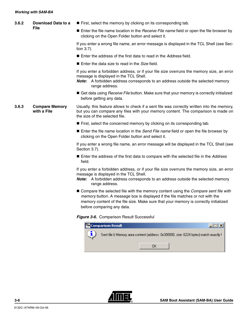#### *Working with SAM-BA*

- <span id="page-13-0"></span>**3.6.2 Download Data to a File**
- $\blacksquare$  First, select the memory by clicking on its corresponding tab.
- **E** file rim allemant *Enter in the Receive File name* field or open the file browser by clicking on the Open Folder button and select it.

If you enter a wrong file name, an error message is displayed in the TCL Shell (see [Sec](#page-17-0)[tion 3.7\)](#page-17-0).

- ! Enter the address of the first data to read in the *Address* field.
- Enter the data size to read in the *Size* field.

If you enter a forbidden address, or if your file size overruns the memory size, an error message is displayed in the TCL Shell.

*Note:* A forbidden address corresponds to an address outside the selected memory range address.

! Get data using *Receive File* button. Make sure that your memory is correctly initialized before getting any data.

<span id="page-13-1"></span>**3.6.3 Compare Memory with a File** Usually, this feature allows to check if a sent file was correctly written into the memory, but you can compare any files with your memory content. The comparison is made on the size of the selected file.

- First, select the concerned memory by clicking on its corresponding tab.
- ! Enter the file name location in the *Send File name* field or open the file browser by clicking on the Open Folder button and select it.

If you enter a wrong file name, an error message will be displayed in the TCL Shell (see [Section 3.7\)](#page-17-0).

! Enter the address of the first data to compare with the selected file in the *Address*  field.

If you enter a forbidden address, or if your file size overruns the memory size, an error message is displayed in the TCL Shell.

- *Note:* A forbidden address corresponds to an address outside the selected memory range address.
- Compare the selected file with the memory content using the *Compare sent file with memory* button. A message box is displayed if the file matches or not with the memory content of the file size. Make sure that your memory is correctly initialized before comparing any data.

#### *Figure 3-6.* Comparison Result Successful

| <b>Comparison Result</b>                                                              |  |
|---------------------------------------------------------------------------------------|--|
| Sent file & Memory area content (address: 0x300000, size: 6224 bytes) match exactly ! |  |
|                                                                                       |  |

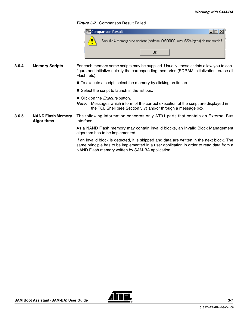#### *Figure 3-7.* Comparison Result Failed

| Comparison Result                                                                    |  |
|--------------------------------------------------------------------------------------|--|
| Sent file & Memory area content (address: 0x300002, size: 6224 bytes) do not match ! |  |
|                                                                                      |  |

#### <span id="page-14-0"></span>**3.6.4 Memory Scripts** For each memory some scripts may be supplied. Usually, these scripts allow you to configure and initialize quickly the corresponding memories (SDRAM initialization, erase all Flash, etc).

- To execute a script, select the memory by clicking on its tab.
- Select the script to launch in the list box.
- Click on the *Execute* button.
- *Note:* Messages which inform of the correct execution of the script are displayed in the TCL Shell (see [Section 3.7\)](#page-17-0) and/or through a message box.

#### <span id="page-14-2"></span><span id="page-14-1"></span>**3.6.5 NAND Flash Memory Algorithms** The following information concerns only AT91 parts that contain an External Bus Interface.

As a NAND Flash memory may contain invalid blocks, an Invalid Block Management algorithm has to be implemented.

If an invalid block is detected, it is skipped and data are written in the next block. The same principle has to be implemented in a user application in order to read data from a NAND Flash memory written by SAM-BA application.



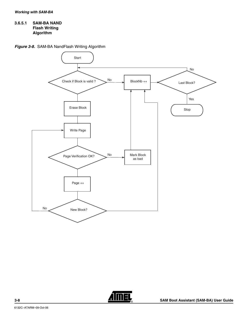#### <span id="page-15-1"></span><span id="page-15-0"></span>**3.6.5.1 SAM-BA NAND Flash Writing Algorithm**

*Figure 3-8.* SAM-BA NandFlash Writing Algorithm



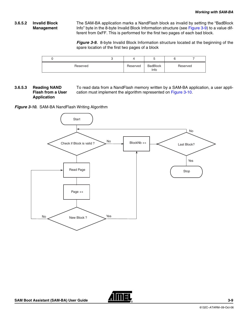### <span id="page-16-4"></span><span id="page-16-0"></span>**3.6.5.2 Invalid Block Management**

The SAM-BA application marks a NandFlash block as invalid by setting the "BadBlock Info" byte in the 8-byte Invalid Block Information structure (see [Figure 3-9\)](#page-16-3) to a value different from 0xFF. This is performed for the first two pages of each bad block.

<span id="page-16-3"></span>*Figure 3-9.* 8-byte Invalid Block Information structure located at the beginning of the spare location of the first two pages of a block

| Reserved |  | Reserved | <b>BadBlock</b><br>Info | Reserved |  |
|----------|--|----------|-------------------------|----------|--|

#### <span id="page-16-5"></span><span id="page-16-1"></span>**3.6.5.3 Reading NAND Flash from a User Application**

To read data from a NandFlash memory written by a SAM-BA application, a user application must implement the algorithm represented on [Figure 3-10](#page-16-2).

<span id="page-16-2"></span>*Figure 3-10.* SAM-BA NandFlash Writing Algorithm

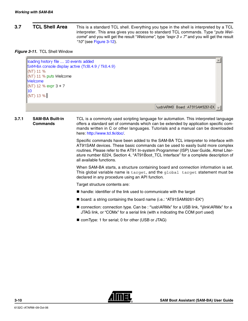<span id="page-17-0"></span>**3.7 TCL Shell Area** This is a standard TCL shell. Everything you type in the shell is interpreted by a TCL interpreter. This area gives you access to standard TCL commands. Type "*puts Welcome*" and you will get the result "*Welcome",* type *"expr 3 + 7"* and you will get the result *"10"* (see [Figure 3-12\)](#page-20-5).

#### *Figure 3-11.* TCL Shell Window

| loading history file  10 events added                       |
|-------------------------------------------------------------|
| SAM-BA console display active (Tcl8.4.9 / Tk8.4.9)          |
| $(NT)$ 11 %                                                 |
| (NT) 11 % puts Welcome                                      |
| <b>I</b> Welcome                                            |
| $(NT)$ 12 % expr 3 + 7                                      |
| $\begin{bmatrix} 10 \\ (\text{NT}) \ 13 \ \% \end{bmatrix}$ |
|                                                             |
|                                                             |
|                                                             |

#### \usb\ARM0|| Board : AT91SAM9261-EK

#### <span id="page-17-1"></span>**3.7.1 SAM-BA Built-in Commands** TCL is a commonly used scripting language for automation. This interpreted language offers a standard set of commands which can be extended by application specific commands written in C or other languages. Tutorials and a manual can be downloaded here: <http://www.tcl.tk/doc/>.

Specific commands have been added to the SAM-BA TCL interpreter to interface with AT91SAM devices. These basic commands can be used to easily build more complex routines. Please refer to the AT91 In-system Programmer (ISP) User Guide, Atmel Literature number 6224, Section 4, "AT91Boot\_TCL Interface" for a complete description of all available functions.

When SAM-BA starts, a structure containing board and connection information is set. This global variable name is target, and the global target statement must be declared in any procedure using an API function.

Target structure contents are:

- $\blacksquare$  handle: identifier of the link used to communicate with the target
- board: a string containing the board name (i.e.: "AT91SAM9261-EK")
- connection: connection type. Can be : "\usb\ARMx" for a USB link, "\jlink\ARMx" for a JTAG link, or "COMx" for a serial link (with x indicating the COM port used)
- comType: 1 for serial; 0 for other (USB or JTAG)

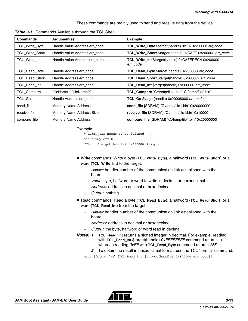These commands are mainly used to send and receive data from the device:

*Table 3-1.* Commands Available through the TCL Shell

| <b>Commands</b>        | Argument(s)                   | <b>Example</b>                                                 |
|------------------------|-------------------------------|----------------------------------------------------------------|
| <b>TCL Write Byte</b>  | Handle Value Address err_code | TCL_Write_Byte \$target(handle) 0xCA 0x200001 err_code         |
| <b>TCL Write Short</b> | Handle Value Address err code | TCL_Write_Short \$target(handle) 0xCAFE 0x200002 err_code      |
| TCL Write Int          | Handle Value Address err code | TCL_Write_Int \$target(handle) 0xCAFEDECA 0x200000<br>err code |
| TCL_Read_Byte          | Handle Address err_code       | TCL_Read_Byte \$target(handle) 0x200003 err_code               |
| <b>TCL Read Short</b>  | Handle Address err code       | <b>TCL_Read_Short</b> \$target(handle) 0x200002 err_code       |
| TCL Read Int           | Handle Address err_code       | TCL_Read_Int \$target(handle) 0x200000 err_code                |
| TCL_Compare            | "fileName1" "fileName2"       | TCL_Compare "C:/temp/file1.bin" "C:/temp/file2.bin"            |
| TCL_Go                 | Handle Address err code       | TCL_Go \$target(handle) 0x20008000 err_code                    |
| send file              | <b>Memory Name Address</b>    | send_file {SDRAM} "C:/temp/file1.bin" 0x20000000               |
| receive_file           | Memory Name Address Size      | receive_file {SDRAM} "C:/temp/file1.bin" 0x10000               |
| compare file           | Memory Name Address           | compare_file {SDRAM} "C:/temp/file1.bin" 0x20000000            |

#### Example:

# dummy err needs to be defined !!! set dummy\_err 0 TCL Go \$target(handle) 0x300000 dummy err

- ! Write commands: Write a byte (**TCL\_Write\_Byte**), a halfword (**TCL\_Write\_Short**) or a word (**TCL\_Write\_Int**) to the target.
	- *– Handle:* handler number of the communication link established with the board.
	- *Value*: byte, halfword or word to write in decimal or hexadecimal.
	- *Address*: address in decimal or hexadecimal.
	- *Output*: nothing.
- ! Read commands: Read a byte (**TCL\_Read\_Byte**), a halfword (**TCL\_Read\_Short**) or a word (**TCL\_Read\_Int**) from the target.
	- *– Handle:* handler number of the communication link established with the board.
	- *Address*: address in decimal or hexadecimal.
	- *Output*: the byte, halfword or word read in decimal.
- *Notes: 1.* **TCL\_Read\_Int** returns a signed integer in decimal. For example, reading with **TCL\_Read\_Int** \$target(handle) *0xFFFFFFFF* command returns *-1* whereas reading *0xFF* with **TCL\_Read\_Byte** command returns *255*.
	- *2.* To obtain the result in hexadecimal format, use the TCL "format" command:

puts [format "%x" [TCL\_Read\_Int \$target(handle) 0x300000 err\_code]]

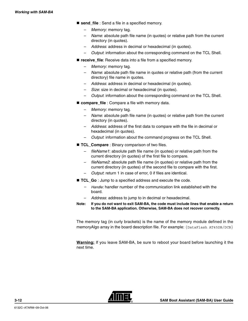- **E** send file : Send a file in a specified memory.
	- *Memory*: memory tag.
	- *Name*: absolute path file name (in quotes) or relative path from the current directory (in quotes).
	- *Address*: address in decimal or hexadecimal (in quotes).
	- *Output*: information about the corresponding command on the TCL Shell.
- receive\_file: Receive data into a file from a specified memory.
	- *Memory*: memory tag.
	- *Name*: absolute path file name in quotes or relative path (from the current directory) file name in quotes.
	- *Address*: address in decimal or hexadecimal (in quotes).
	- *Size*: size in decimal or hexadecimal (in quotes).
	- *Output*: information about the corresponding command on the TCL Shell.
- **compare\_file** : Compare a file with memory data.
	- *Memory*: memory tag.
	- *Name*: absolute path file name (in quotes) or relative path from the current directory (in quotes).
	- *Address*: address of the first data to compare with the file in decimal or hexadecimal (in quotes).
	- *Output*: information about the command progress on the TCL Shell.
- **TCL\_Compare** : Binary comparison of two files.
	- *fileName1*: absolute path file name (in quotes) or relative path from the current directory (in quotes) of the first file to compare.
	- *fileName2*: absolute path file name (in quotes) or relative path from the current directory (in quotes) of the second file to compare with the first.
	- *Output*: return 1 in case of error, 0 if files are identical.
- **TCL\_Go** : Jump to a specified address and execute the code.
	- *– Handle:* handler number of the communication link established with the board.
	- *Address*: address to jump to in decimal or hexadecimal.
- **Note: If you do not want to exit SAM-BA, the code must include lines that enable a return to the SAM-BA application. Otherwise, SAM-BA does not recover correctly.**

The memory tag (in curly brackets) is the name of the memory module defined in the memoryAlgo array in the board description file. For example: {DataFlash AT45DB/DCB}

**Warning:** If you leave SAM-BA, be sure to reboot your board before launching it the next time.

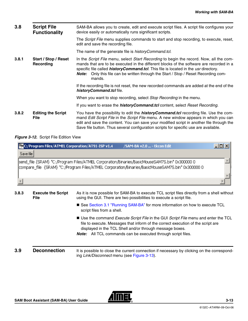<span id="page-20-1"></span><span id="page-20-0"></span>

| 3.8<br><b>Script File</b><br><b>Functionality</b> |                                          | SAM-BA allows you to create, edit and execute script files. A script file configures your<br>device easily or automatically runs significant scripts.                                                                                                                                                                                                                                    |  |
|---------------------------------------------------|------------------------------------------|------------------------------------------------------------------------------------------------------------------------------------------------------------------------------------------------------------------------------------------------------------------------------------------------------------------------------------------------------------------------------------------|--|
|                                                   |                                          | The Script File menu supplies commands to start and stop recording, to execute, reset,<br>edit and save the recording file.                                                                                                                                                                                                                                                              |  |
|                                                   |                                          | The name of the generate file is historyCommand.tcl.                                                                                                                                                                                                                                                                                                                                     |  |
| 3.8.1                                             | Start / Stop / Reset<br>Recording        | In the Script File menu, select Start Recording to begin the record. Now, all the com-<br>mands that are to be executed in the different blocks of the software are recorded in a<br>specific file called <i>historyCommand.tcl</i> . This file is located in the usr directory.<br><b>Note:</b> Only this file can be written through the Start / Stop / Reset Recording com-<br>mands. |  |
|                                                   |                                          | If the recording file is not reset, the new recorded commands are added at the end of the<br>historyCommand.tcl file.                                                                                                                                                                                                                                                                    |  |
|                                                   |                                          | When you want to stop recording, select Stop Recording in the menu.                                                                                                                                                                                                                                                                                                                      |  |
|                                                   |                                          | If you want to erase the <i>historyCommand.tcl</i> content, select <i>Reset Recording</i> .                                                                                                                                                                                                                                                                                              |  |
| 3.8.2                                             | <b>Editing the Script</b><br><b>File</b> | You have the possibility to edit the <i>historyCommand.tcl</i> recording file. Use the com-<br>mand Edit Script File in the Script File menu. A new window appears in which you can<br>edit and save the content. You can save your modified script in another file through the<br>Save file button. Thus several configuration scripts for specific use are available.                  |  |

#### <span id="page-20-5"></span><span id="page-20-2"></span>*Figure 3-12.* Script File Edition View

| C:/Program Files/ATMEL Corporation/AT91-ISP v1.4<br>/SAM-BA v2.0  - tkcon Edit                                                                                                                    |  |  |  |
|---------------------------------------------------------------------------------------------------------------------------------------------------------------------------------------------------|--|--|--|
| Save file                                                                                                                                                                                         |  |  |  |
| send_file {SRAM} "C:/Program Files/ATMEL Corporation/Binaries/BasicMouseSAM7S.bin" 0x300000 0<br>compare_file {SRAM} "C:/Program Files/ATMEL Corporation/Binaries/BasicMouseSAM7S.bin" 0x300000 0 |  |  |  |
|                                                                                                                                                                                                   |  |  |  |

#### <span id="page-20-6"></span><span id="page-20-3"></span>**3.8.3 Execute the Script File** As it is now possible for SAM-BA to execute TCL script files directly from a shell without using the GUI. There are two possibilities to execute a script file.

- See [Section 3.1 "Running SAM-BA"](#page-8-2) for more information on how to execute TCL script files from a shell.
- ! Use the command *Execute Script File* in the GUI *Script File* menu and enter the TCL file to execute. Messages that inform of the correct execution of the script are displayed in the TCL Shell and/or through message boxes.
- *Note:* All TCL commands can be executed through script files.

<span id="page-20-4"></span>**3.9 Deconnection** It is possible to close the current connection if necessary by clicking on the corresponding *Link/Disconnect* menu (see [Figure 3-13\)](#page-21-0).



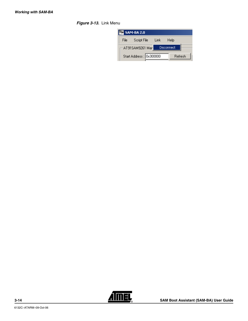<span id="page-21-0"></span>*Figure 3-13.* Link Menu

| <b>SAM-BA 2.0</b> |                         |      |            |         |
|-------------------|-------------------------|------|------------|---------|
| File              | Script File             | Link | Help       |         |
| AT91SAM9261 Mer   |                         |      | Disconnect |         |
|                   | Start Address: 0x300000 |      |            | Refresh |

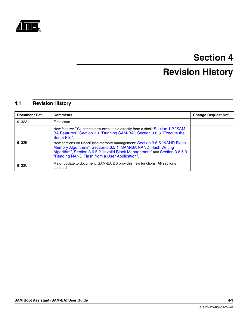<span id="page-22-0"></span>

## **Section 4**

# **Revision History**

### <span id="page-22-2"></span><span id="page-22-1"></span>**4.1 Revision History**

| Document Ref. | <b>Comments</b>                                                                                                                                                                                                                                                         | <b>Change Request Ref.</b> |
|---------------|-------------------------------------------------------------------------------------------------------------------------------------------------------------------------------------------------------------------------------------------------------------------------|----------------------------|
| 6132A         | First issue                                                                                                                                                                                                                                                             |                            |
|               | New feature: TCL scripts now executable directly from a shell: Section 1.2 "SAM-<br>BA Features", Section 3.1 "Running SAM-BA", Section 3.8.3 "Execute the<br>Script File".                                                                                             |                            |
| 6132B         | New sections on NandFlash memory management: Section 3.6.5 "NAND Flash<br>Memory Algorithms", Section 3.6.5.1 "SAM-BA NAND Flash Writing<br>Algorithm", Section 3.6.5.2 "Invalid Block Management" and Section 3.6.5.3<br>"Reading NAND Flash from a User Application". |                            |
| 6132C         | Major update to document, SAM-BA 2.0 provides new functions. All sections<br>updated.                                                                                                                                                                                   |                            |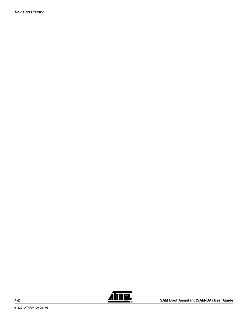*Revision History*